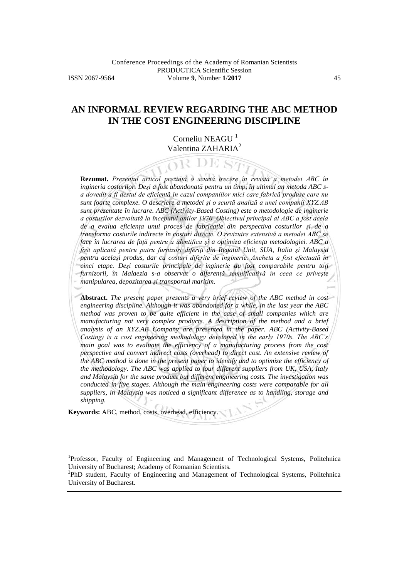# **AN INFORMAL REVIEW REGARDING THE ABC METHOD IN THE COST ENGINEERING DISCIPLINE**

Corneliu NEAGU<sup>1</sup> Valentina ZAHARIA<sup>2</sup>

YK DE SZ

**Rezumat.** *Prezentul articol prezintă o scurtă trecere în revistă a metodei ABC în ingineria costurilor. Deşi a fost abandonată pentru un timp, în ultimul an metoda ABC sa dovedit a fi destul de eficientă în cazul companiilor mici care fabrică produse care nu sunt foarte complexe. O descriere a metodei şi o scurtă analiză a unei companii XYZ.AB sunt prezentate în lucrare. ABC (Activity-Based Costing) este o metodologie de inginerie a costurilor dezvoltată la începutul anilor 1970. Obiectivul principal al ABC a fost acela de a evalua eficienţa unui proces de fabricaţie din perspectiva costurilor şi de a transforma costurile indirecte în costuri directe. O revizuire extensivă a metodei ABC se face în lucrarea de faţă pentru a identifica şi a optimiza eficienţa metodologiei. ABC a fost aplicată pentru patru furnizori diferiţi din Regatul Unit, SUA, Italia şi Malaysia pentru acelaşi produs, dar cu costuri diferite de inginerie. Ancheta a fost efectuată în cinci etape. Deşi costurile principale de inginerie au fost comparabile pentru toţi furnizorii, în Malaezia s-a observat o diferenţă semnificativă în ceea ce priveşte manipularea, depozitarea şi transportul maritim.*

**Abstract.** *The present paper presents a very brief review of the ABC method in cost engineering discipline. Although it was abandoned for a while, in the last year the ABC method was proven to be quite efficient in the case of small companies which are manufacturing not very complex products. A description of the method and a brief analysis of an XYZ.AB Company are presented in the paper. ABC (Activity-Based Costing) is a cost engineering methodology developed in the early 1970s. The ABC's* main goal was to evaluate the efficiency of a manufacturing process from the cost *perspective and convert indirect costs (overhead) to direct cost. An extensive review of the ABC method is done in the present paper to identify and to optimize the efficiency of the methodology. The ABC was applied to four different suppliers from UK, USA, Italy and Malaysia for the same product but different engineering costs. The investigation was conducted in five stages. Although the main engineering costs were comparable for all suppliers, in Malaysia was noticed a significant difference as to handling, storage and shipping.*

**Keywords:** ABC, method, costs, overhead, efficiency.

 $\overline{a}$ 

<sup>&</sup>lt;sup>1</sup>Professor, Faculty of Engineering and Management of Technological Systems, Politehnica University of Bucharest; Academy of Romanian Scientists.

<sup>&</sup>lt;sup>2</sup>PhD student, Faculty of Engineering and Management of Technological Systems, Politehnica University of Bucharest.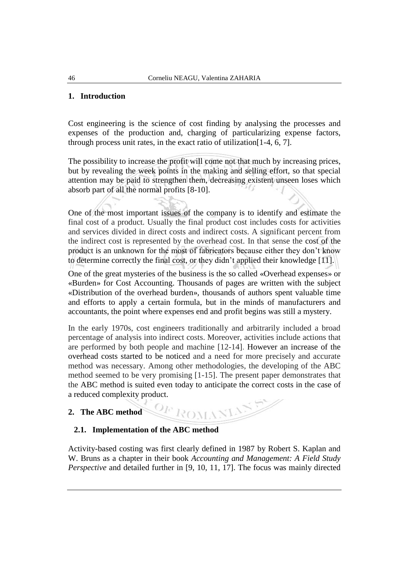### **1. Introduction**

Cost engineering is the science of cost finding by analysing the processes and expenses of the production and, charging of particularizing expense factors, through process unit rates, in the exact ratio of utilization[1-4, 6, 7].

The possibility to increase the profit will come not that much by increasing prices, but by revealing the week points in the making and selling effort, so that special attention may be paid to strengthen them, decreasing existent unseen loses which absorb part of all the normal profits [8-10].

One of the most important issues of the company is to identify and estimate the final cost of a product. Usually the final product cost includes costs for activities and services divided in direct costs and indirect costs. A significant percent from the indirect cost is represented by the overhead cost. In that sense the cost of the product is an unknown for the most of fabricators because either they don't know to determine correctly the final cost, or they didn't applied their knowledge [11].

One of the great mysteries of the business is the so called «Overhead expenses» or «Burden» for Cost Accounting. Thousands of pages are written with the subject «Distribution of the overhead burden», thousands of authors spent valuable time and efforts to apply a certain formula, but in the minds of manufacturers and accountants, the point where expenses end and profit begins was still a mystery.

In the early 1970s, cost engineers traditionally and arbitrarily included a broad percentage of analysis into indirect costs. Moreover, activities include actions that are performed by both people and machine [12-14]. However an increase of the overhead costs started to be noticed and a need for more precisely and accurate method was necessary. Among other methodologies, the developing of the ABC method seemed to be very promising [1-15]. The present paper demonstrates that the ABC method is suited even today to anticipate the correct costs in the case of a reduced complexity product.

### **2. The ABC method**

### **2.1. Implementation of the ABC method**

Activity-based costing was first clearly defined in 1987 by Robert S. Kaplan and W. Bruns as a chapter in their book *Accounting and Management: A Field Study Perspective* and detailed further in [9, 10, 11, 17]. The focus was mainly directed

OF ROMANE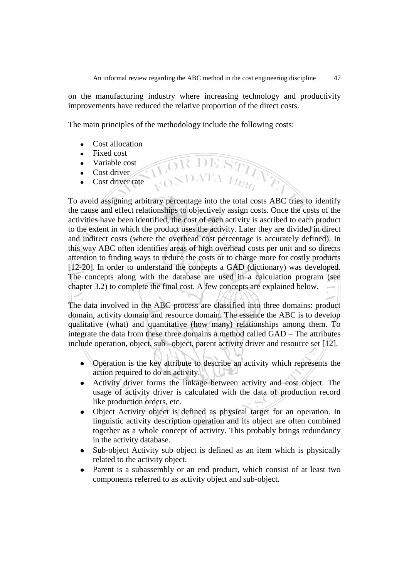on the manufacturing industry where increasing technology and productivity improvements have reduced the relative proportion of the direct costs.

The main principles of the methodology include the following costs:

- Cost allocation  $\bullet$
- Fixed cost
- Variable cost
- Cost driver
- Cost driver rate

To avoid assigning arbitrary percentage into the total costs ABC tries to identify the cause and effect relationships to objectively assign costs. Once the costs of the activities have been identified, the cost of each activity is ascribed to each product to the extent in which the product uses the activity. Later they are divided in direct and indirect costs (where the overhead cost percentage is accurately defined). In this way ABC often identifies areas of high overhead costs per unit and so directs attention to finding ways to reduce the costs or to charge more for costly products [12-20]. In order to understand the concepts a GAD (dictionary) was developed. The concepts along with the database are used in a calculation program (see chapter 3.2) to complete the final cost. A few concepts are explained below.

The data involved in the ABC process are classified into three domains: product domain, activity domain and resource domain. The essence the ABC is to develop qualitative (what) and quantitative (how many) relationships among them. To integrate the data from these three domains a method called GAD – The attributes include operation, object, sub –object, parent activity driver and resource set [12].

- Operation is the key attribute to describe an activity which represents the  $\bullet$ action required to do an activity.
- Activity driver forms the linkage between activity and cost object. The  $\bullet$ usage of activity driver is calculated with the data of production record like production orders, etc.
- Object Activity object is defined as physical target for an operation. In  $\bullet$ linguistic activity description operation and its object are often combined together as a whole concept of activity. This probably brings redundancy in the activity database.
- Sub-object Activity sub object is defined as an item which is physically related to the activity object.
- Parent is a subassembly or an end product, which consist of at least two  $\bullet$ components referred to as activity object and sub-object.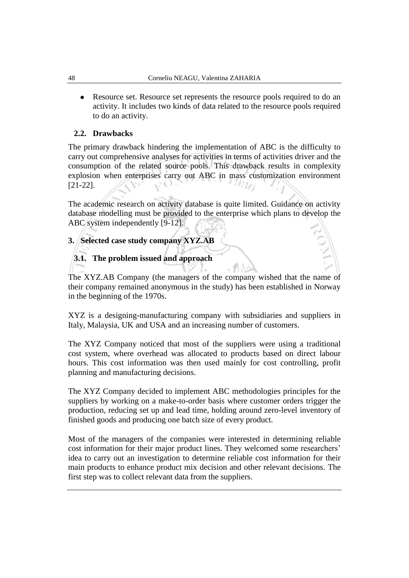• Resource set. Resource set represents the resource pools required to do an activity. It includes two kinds of data related to the resource pools required to do an activity.

### **2.2. Drawbacks**

The primary drawback hindering the implementation of ABC is the difficulty to carry out comprehensive analyses for activities in terms of activities driver and the consumption of the related source pools. This drawback results in complexity explosion when enterprises carry out ABC in mass customization environment [21-22].

The academic research on activity database is quite limited. Guidance on activity database modelling must be provided to the enterprise which plans to develop the ABC system independently [9-12].

### **3. Selected case study company XYZ.AB**

# **3.1. The problem issued and approach**

The XYZ.AB Company (the managers of the company wished that the name of their company remained anonymous in the study) has been established in Norway in the beginning of the 1970s.

XYZ is a designing-manufacturing company with subsidiaries and suppliers in Italy, Malaysia, UK and USA and an increasing number of customers.

The XYZ Company noticed that most of the suppliers were using a traditional cost system, where overhead was allocated to products based on direct labour hours. This cost information was then used mainly for cost controlling, profit planning and manufacturing decisions.

The XYZ Company decided to implement ABC methodologies principles for the suppliers by working on a make-to-order basis where customer orders trigger the production, reducing set up and lead time, holding around zero-level inventory of finished goods and producing one batch size of every product.

Most of the managers of the companies were interested in determining reliable cost information for their major product lines. They welcomed some researchers' idea to carry out an investigation to determine reliable cost information for their main products to enhance product mix decision and other relevant decisions. The first step was to collect relevant data from the suppliers.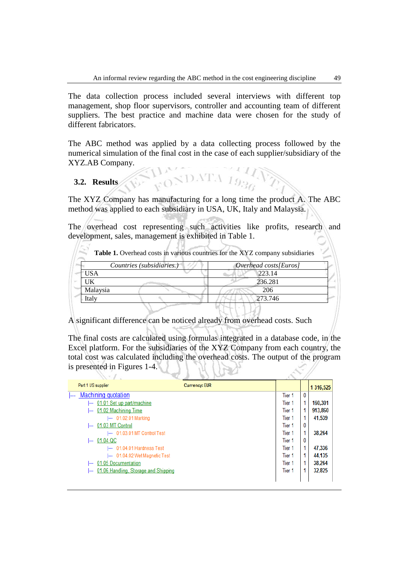The data collection process included several interviews with different top management, shop floor supervisors, controller and accounting team of different suppliers. The best practice and machine data were chosen for the study of different fabricators.

The ABC method was applied by a data collecting process followed by the numerical simulation of the final cost in the case of each supplier/subsidiary of the XYZ.AB Company.

### **3.2. Results**

The XYZ Company has manufacturing for a long time the product A. The ABC method was applied to each subsidiary in USA, UK, Italy and Malaysia.

RONDATA 1936

The overhead cost representing such activities like profits, research and development, sales, management is exhibited in Table 1.

| Countries (subsidiaries.) | Overhead costs[Euros] |
|---------------------------|-----------------------|
| USA                       | 223.14                |
| UK                        | 236.281               |
| Malaysia                  | 206                   |
| Ítaly                     | 273.746               |

A significant difference can be noticed already from overhead costs. Such

The final costs are calculated using formulas integrated in a database code, in the Excel platform. For the subsidiaries of the XYZ Company from each country, the total cost was calculated including the overhead costs. The output of the program is presented in Figures 1-4.

| $\sqrt{2}$                                         |                      |                   |              |           |
|----------------------------------------------------|----------------------|-------------------|--------------|-----------|
| Part 1 US supplier                                 | <b>Currency: EUR</b> |                   |              | 1 316,525 |
| Machining quotation                                |                      | Tier 1            | $\mathbf{0}$ |           |
| 01.01 Set up part/machine<br><b>I</b>              |                      | Tier 1            |              | 160,301   |
| 01.02 Machining Time<br> ---                       |                      | Tier <sub>1</sub> |              | 913,860   |
| 01.02.01 Marking<br> ---                           |                      | Tier <sub>1</sub> |              | 41,539    |
| 01.03 MT Control<br><b>I</b>                       |                      | Tier 1            | 0            |           |
| I--- 01.03.01 MT Control Test                      |                      | Tier <sub>1</sub> |              | 38.264    |
| 01.04 QC<br> ---                                   |                      | Tier <sub>1</sub> | 0            |           |
| 01.04.01 Hardness Test<br>$\overline{\phantom{a}}$ |                      | Tier <sub>1</sub> |              | 47,336    |
| --- 01.04.02 Wet Magnetic Test                     |                      | Tier 1            |              | 44.135    |
| 01.05 Documentation<br> ---                        |                      | Tier <sub>1</sub> |              | 38,264    |
| 01.06 Handling, Storage and Shipping<br> ---       |                      | Tier 1            |              | 32,825    |
|                                                    |                      |                   |              |           |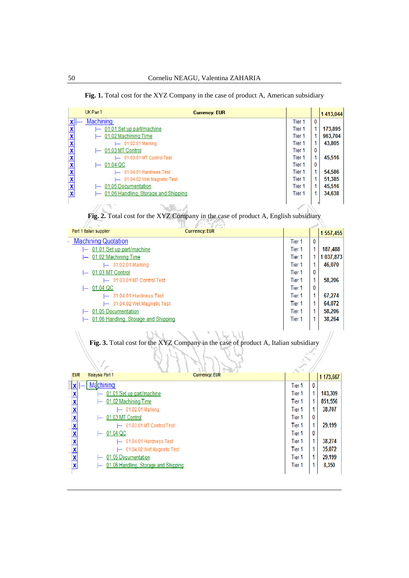|  |  |  |  |  |  |  |  |  |  | <b>Fig. 1.</b> Total cost for the XYZ Company in the case of product A, American subsidiary |
|--|--|--|--|--|--|--|--|--|--|---------------------------------------------------------------------------------------------|
|--|--|--|--|--|--|--|--|--|--|---------------------------------------------------------------------------------------------|

|                         | UK Part 1                                    | <b>Currency: EUR</b>                                                                |                   |          | 1413,044  |
|-------------------------|----------------------------------------------|-------------------------------------------------------------------------------------|-------------------|----------|-----------|
| X                       | Machining                                    |                                                                                     | Tier <sub>1</sub> | 0        |           |
| $\overline{\mathbf{x}}$ | -- 01.01 Set up part/machine                 |                                                                                     | Tier <sub>1</sub> | 1        | 173,895   |
|                         | 01.02 Machining Time                         |                                                                                     | Tier <sub>1</sub> | 1        | 963,704   |
| <b>x x x x x x x x</b>  | --- 01.02.01 Marking                         |                                                                                     | Tier <sub>1</sub> | 1        | 43,805    |
|                         | 01.03 MT Control                             |                                                                                     | Tier <sub>1</sub> | 0        |           |
|                         | I--- 01.03.01 MT Control Test                |                                                                                     | Tier <sub>1</sub> | 1        | 45,516    |
|                         | $\leftarrow 01.04$ QC                        |                                                                                     | Tier <sub>1</sub> | 0        |           |
|                         | --- 01.04.01 Hardness Test                   |                                                                                     | Tier <sub>1</sub> | 1        | 54,586    |
|                         | I--- 01.04.02 Wet Magnetic Test              |                                                                                     | Tier <sub>1</sub> | 1        | 51,385    |
|                         | 01.05 Documentation                          |                                                                                     | Tier <sub>1</sub> | 1        | 45,516    |
|                         | 01.06 Handling, Storage and Shipping<br>⊢    |                                                                                     | Tier <sub>1</sub> | 1        | 34,638    |
|                         |                                              | Fig. 2. Total cost for the XYZ Company in the case of product A, English subsidiary |                   |          |           |
|                         | Part 1 Italian supplier                      | <b>Currency: EUR</b>                                                                |                   |          | 1 557,455 |
|                         | <b>Machining Quotation</b>                   |                                                                                     | Tier <sub>1</sub> | $\bf{0}$ |           |
|                         | 01.01 Set up part/machine                    |                                                                                     | Tier <sub>1</sub> | 1.       | 187,488   |
|                         | 01.02 Machining Time                         |                                                                                     | Tier <sub>1</sub> | 1.       | 1 037,873 |
|                         | -- 01.02.01 Marking                          |                                                                                     | Tier <sub>1</sub> | 1        | 46,070    |
|                         | 01.03 MT Control<br>$\overline{\phantom{a}}$ |                                                                                     | Tier <sub>1</sub> | $\bf{0}$ |           |
|                         | I--- 01.03.01 MT Control Test                |                                                                                     | Tier 1            | 1.       | 58,206    |
|                         | $\left  - - \right  01.04 \text{ QC}$        |                                                                                     | Tier <sub>1</sub> | 0        |           |
|                         | -- 01.04.01 Hardness Test                    |                                                                                     | Tier <sub>1</sub> | 1        | 67,274    |
|                         | -- 01.04.02 Wet Magnetic Test                |                                                                                     | Tier 1            | 1.       | 64,072    |
|                         | 01.05 Documentation                          |                                                                                     | Tier <sub>1</sub> | 1.       | 58,206    |
|                         | 01.06 Handling, Storage and Shipping         |                                                                                     | Tier <sub>1</sub> | 1        | 38,264    |
|                         |                                              |                                                                                     |                   |          |           |
| W                       |                                              | $X = Y$ and $Y = Y$ and $Y = Y$<br>(31.7)<br><b>Branch</b>                          |                   |          | n         |

**Fig. 3.** Total cost for the XYZ Company in the case of product A, Italian subsidiary

|                         |                                                                  | Ž      |   |           |
|-------------------------|------------------------------------------------------------------|--------|---|-----------|
| <b>EUR</b>              | <b>Currency: EUR</b><br>Malaysia Part 1                          |        |   | 1 173,667 |
| $  \mathbf{x}  $ ---    | Machining                                                        | Tier 1 | 0 |           |
| X                       | 01.01 Set up part/machine                                        | Tier 1 |   | 143,309   |
| X                       | 01.02 Machining Time<br><b>I</b> ---                             | Tier 1 |   | 851,556   |
| X                       | 01.02.01 Marking<br> ---                                         | Tier 1 |   | 38,707    |
| X                       | 01.03 MT Control<br>$\overline{\phantom{a}}$                     | Tier 1 | 0 |           |
| X                       | 01.03.01 MT Control Test                                         | Tier 1 |   | 29,199    |
| X                       | 01.04 QC<br>$\overline{\phantom{a}}$                             | Tier 1 | 0 |           |
| X                       | 01.04.01 Hardness Test<br> ---                                   | Tier 1 |   | 38,274    |
| X                       | 01.04.02 Wet Magnetic Test<br>⊢                                  | Tier 1 |   | 35,072    |
| $\overline{\mathbf{X}}$ | 01.05 Documentation<br><b>I---</b>                               | Tier 1 |   | 29,199    |
| X                       | 01.06 Handling, Storage and Shipping<br>$\overline{\phantom{a}}$ | Tier 1 |   | 8,350     |
|                         |                                                                  |        |   |           |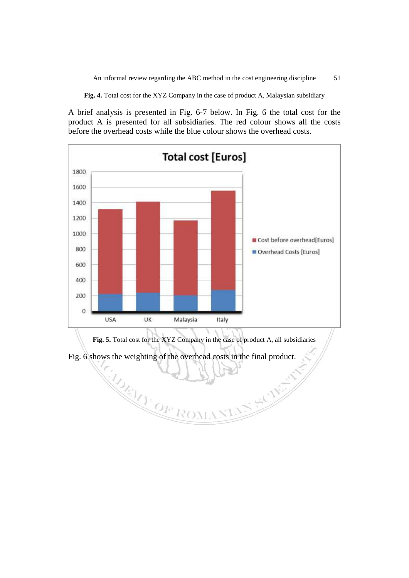**Fig. 4.** Total cost for the XYZ Company in the case of product A, Malaysian subsidiary

A brief analysis is presented in Fig. 6-7 below. In Fig. 6 the total cost for the product A is presented for all subsidiaries. The red colour shows all the costs before the overhead costs while the blue colour shows the overhead costs.



**Fig. 5.** Total cost for the XYZ Company in the case of product A, all subsidiaries

N SKING

Fig. 6 shows the weighting of the overhead costs in the final product.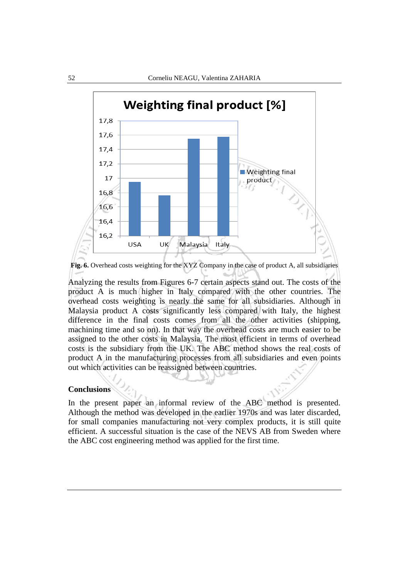

**Fig. 6.** Overhead costs weighting for the XYZ Company in the case of product A, all subsidiaries

Analyzing the results from Figures 6-7 certain aspects stand out. The costs of the product A is much higher in Italy compared with the other countries. The overhead costs weighting is nearly the same for all subsidiaries. Although in Malaysia product A costs significantly less compared with Italy, the highest difference in the final costs comes from all the other activities (shipping, machining time and so on). In that way the overhead costs are much easier to be assigned to the other costs in Malaysia. The most efficient in terms of overhead costs is the subsidiary from the UK. The ABC method shows the real costs of product A in the manufacturing processes from all subsidiaries and even points out which activities can be reassigned between countries.

#### **Conclusions**

In the present paper an informal review of the ABC method is presented. Although the method was developed in the earlier 1970s and was later discarded, for small companies manufacturing not very complex products, it is still quite efficient. A successful situation is the case of the NEVS AB from Sweden where the ABC cost engineering method was applied for the first time.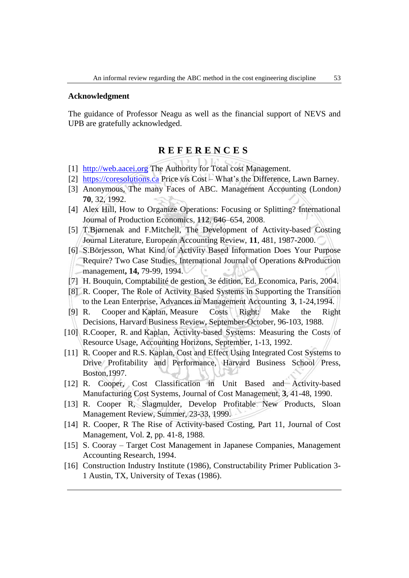#### **Acknowledgment**

The guidance of Professor Neagu as well as the financial support of NEVS and UPB are gratefully acknowledged.

## **R E F E R E N C E S**

- [1] [http://web.aacei.org](http://web.aacei.org/) The Authority for Total cost Management.
- [2] [https://coresolutions.ca](https://coresolutions.ca/) Price vis Cost What's the Difference, Lawn Barney.
- [3] Anonymous, The many Faces of ABC. Management Accounting (London*)* **70**, 32, 1992.
- [4] Alex Hill, How to Organize Operations: Focusing or Splitting? International Journal of Production Economics, **112**, 646–654, 2008.
- [5] T.Bjørnenak and F.Mitchell, The Development of Activity-based Costing Journal Literature, European Accounting Review, **11**, 481, 1987-2000.
- [6] S.Börjesson, What Kind of Activity Based Information Does Your Purpose Require? Two Case Studies, International Journal of Operations &Production management**, 14,** 79-99, 1994.
- [7] H. Bouquin, Comptabilité de gestion, 3e édition, Ed. Economica, Paris, 2004.
- [8] R. Cooper, The Role of Activity Based Systems in Supporting the Transition to the Lean Enterprise, Advances in Management Accounting **3**, 1-24,1994.
- [9] R. Cooper and Kaplan, Measure Costs Right: Make the Right Decisions, Harvard Business Review, September-October, 96-103, 1988.
- [10] R.Cooper, R. and Kaplan, Activity-based Systems: Measuring the Costs of Resource Usage, Accounting Horizons, September, 1-13, 1992.
- [11] R. Cooper and R.S. Kaplan, Cost and Effect Using Integrated Cost Systems to Drive Profitability and Performance, Harvard Business School Press, Boston,1997.
- [12] R. Cooper, Cost Classification in Unit Based and Activity-based Manufacturing Cost Systems, Journal of Cost Management, **3**, 41-48, 1990.
- [13] R. Cooper R, Slagmulder, Develop Profitable New Products, Sloan Management Review, Summer, 23-33, 1999.
- [14] R. Cooper, R The Rise of Activity-based Costing, Part 11, Journal of Cost Management, Vol. **2**, pp. 41‐8, 1988.
- [15] S. Cooray Target Cost Management in Japanese Companies, Management Accounting Research, 1994.
- [16] Construction Industry Institute (1986), Constructability Primer Publication 3- 1 Austin, TX, University of Texas (1986).